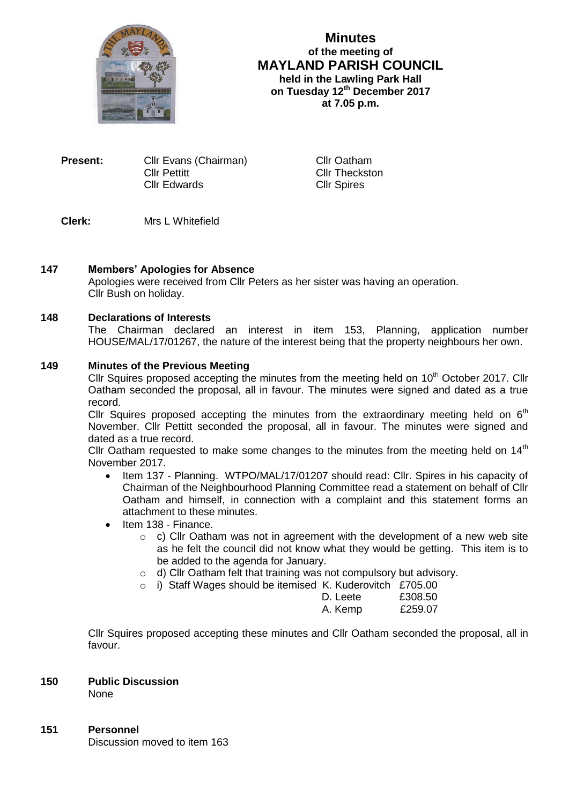

# **Minutes of the meeting of MAYLAND PARISH COUNCIL held in the Lawling Park Hall on Tuesday 12th December 2017 at 7.05 p.m.**

**Present:** Cllr Evans (Chairman) Cllr Oatham **Cllr Pettitt** Cllr Theckston Cllr Edwards Cllr Spires

# **Clerk:** Mrs L Whitefield

## **147 Members' Apologies for Absence**

Apologies were received from Cllr Peters as her sister was having an operation. Cllr Bush on holiday.

#### **148 Declarations of Interests**

The Chairman declared an interest in item 153, Planning, application number HOUSE/MAL/17/01267, the nature of the interest being that the property neighbours her own.

#### **149 Minutes of the Previous Meeting**

Cllr Squires proposed accepting the minutes from the meeting held on  $10<sup>th</sup>$  October 2017. Cllr Oatham seconded the proposal, all in favour. The minutes were signed and dated as a true record.

Cllr Squires proposed accepting the minutes from the extraordinary meeting held on  $6<sup>th</sup>$ November. Cllr Pettitt seconded the proposal, all in favour. The minutes were signed and dated as a true record.

Cllr Oatham requested to make some changes to the minutes from the meeting held on  $14<sup>th</sup>$ November 2017.

- Item 137 Planning. WTPO/MAL/17/01207 should read: Cllr. Spires in his capacity of Chairman of the Neighbourhood Planning Committee read a statement on behalf of Cllr Oatham and himself, in connection with a complaint and this statement forms an attachment to these minutes.
- $\bullet$  Item 138 Finance.
	- $\circ$  c) Cllr Oatham was not in agreement with the development of a new web site as he felt the council did not know what they would be getting. This item is to be added to the agenda for January.
	- o d) Cllr Oatham felt that training was not compulsory but advisory.
	- o i) Staff Wages should be itemised K. Kuderovitch £705.00

| ~~~~~~~~~~~~~~~~~~~~~~~~~ | ------- |
|---------------------------|---------|
| D. Leete                  | £308.50 |
| A. Kemp                   | £259.07 |

Cllr Squires proposed accepting these minutes and Cllr Oatham seconded the proposal, all in favour.

#### **150 Public Discussion**

None

#### **151 Personnel**

Discussion moved to item 163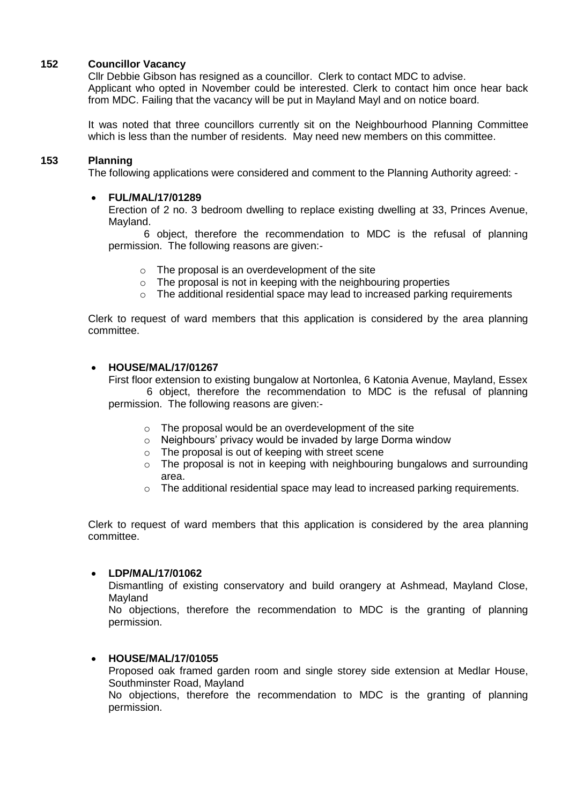# **152 Councillor Vacancy**

Cllr Debbie Gibson has resigned as a councillor. Clerk to contact MDC to advise. Applicant who opted in November could be interested. Clerk to contact him once hear back from MDC. Failing that the vacancy will be put in Mayland Mayl and on notice board.

It was noted that three councillors currently sit on the Neighbourhood Planning Committee which is less than the number of residents. May need new members on this committee.

#### **153 Planning**

The following applications were considered and comment to the Planning Authority agreed: -

#### **FUL/MAL/17/01289**

Erection of 2 no. 3 bedroom dwelling to replace existing dwelling at 33, Princes Avenue, Mayland.

6 object, therefore the recommendation to MDC is the refusal of planning permission. The following reasons are given:-

- $\circ$  The proposal is an overdevelopment of the site
- $\circ$  The proposal is not in keeping with the neighbouring properties
- o The additional residential space may lead to increased parking requirements

Clerk to request of ward members that this application is considered by the area planning committee.

#### **HOUSE/MAL/17/01267**

First floor extension to existing bungalow at Nortonlea, 6 Katonia Avenue, Mayland, Essex 6 object, therefore the recommendation to MDC is the refusal of planning permission. The following reasons are given:-

- o The proposal would be an overdevelopment of the site
- o Neighbours' privacy would be invaded by large Dorma window
- $\circ$  The proposal is out of keeping with street scene
- o The proposal is not in keeping with neighbouring bungalows and surrounding area.
- $\circ$  The additional residential space may lead to increased parking requirements.

Clerk to request of ward members that this application is considered by the area planning committee.

#### **LDP/MAL/17/01062**

Dismantling of existing conservatory and build orangery at Ashmead, Mayland Close, Mayland

No objections, therefore the recommendation to MDC is the granting of planning permission.

## **HOUSE/MAL/17/01055**

Proposed oak framed garden room and single storey side extension at Medlar House, Southminster Road, Mayland

No objections, therefore the recommendation to MDC is the granting of planning permission.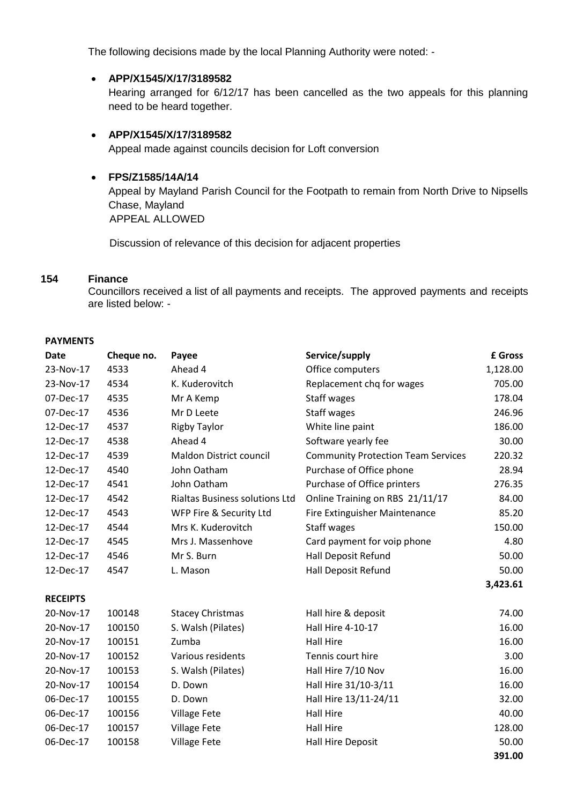The following decisions made by the local Planning Authority were noted: -

## **APP/X1545/X/17/3189582**

Hearing arranged for 6/12/17 has been cancelled as the two appeals for this planning need to be heard together.

## **APP/X1545/X/17/3189582**

Appeal made against councils decision for Loft conversion

## **FPS/Z1585/14A/14**

Appeal by Mayland Parish Council for the Footpath to remain from North Drive to Nipsells Chase, Mayland APPEAL ALLOWED

Discussion of relevance of this decision for adjacent properties

# **154 Finance**

Councillors received a list of all payments and receipts. The approved payments and receipts are listed below: -

#### **PAYMENTS**

| <b>Date</b>     | Cheque no. | Payee                                 | Service/supply                            | £ Gross  |
|-----------------|------------|---------------------------------------|-------------------------------------------|----------|
| 23-Nov-17       | 4533       | Ahead 4                               | Office computers                          | 1,128.00 |
| 23-Nov-17       | 4534       | K. Kuderovitch                        | Replacement chq for wages                 | 705.00   |
| 07-Dec-17       | 4535       | Mr A Kemp                             | Staff wages                               | 178.04   |
| 07-Dec-17       | 4536       | Mr D Leete                            | Staff wages                               | 246.96   |
| 12-Dec-17       | 4537       | <b>Rigby Taylor</b>                   | White line paint                          | 186.00   |
| 12-Dec-17       | 4538       | Ahead 4                               | Software yearly fee                       | 30.00    |
| 12-Dec-17       | 4539       | Maldon District council               | <b>Community Protection Team Services</b> | 220.32   |
| 12-Dec-17       | 4540       | John Oatham                           | Purchase of Office phone                  | 28.94    |
| 12-Dec-17       | 4541       | John Oatham                           | Purchase of Office printers               | 276.35   |
| 12-Dec-17       | 4542       | <b>Rialtas Business solutions Ltd</b> | Online Training on RBS 21/11/17           | 84.00    |
| 12-Dec-17       | 4543       | WFP Fire & Security Ltd               | <b>Fire Extinguisher Maintenance</b>      | 85.20    |
| 12-Dec-17       | 4544       | Mrs K. Kuderovitch                    | Staff wages                               | 150.00   |
| 12-Dec-17       | 4545       | Mrs J. Massenhove                     | Card payment for voip phone               | 4.80     |
| 12-Dec-17       | 4546       | Mr S. Burn                            | Hall Deposit Refund                       | 50.00    |
| 12-Dec-17       | 4547       | L. Mason                              | Hall Deposit Refund                       | 50.00    |
|                 |            |                                       |                                           | 3,423.61 |
| <b>RECEIPTS</b> |            |                                       |                                           |          |
| 20-Nov-17       | 100148     | <b>Stacey Christmas</b>               | Hall hire & deposit                       | 74.00    |
| 20-Nov-17       | 100150     | S. Walsh (Pilates)                    | Hall Hire 4-10-17                         | 16.00    |
| 20-Nov-17       | 100151     | Zumba                                 | <b>Hall Hire</b>                          | 16.00    |
| 20-Nov-17       | 100152     | Various residents                     | Tennis court hire                         | 3.00     |
| 20-Nov-17       | 100153     | S. Walsh (Pilates)                    | Hall Hire 7/10 Nov                        | 16.00    |
| 20-Nov-17       | 100154     | D. Down                               | Hall Hire 31/10-3/11                      | 16.00    |
| 06-Dec-17       | 100155     | D. Down                               | Hall Hire 13/11-24/11                     | 32.00    |
| 06-Dec-17       | 100156     | <b>Village Fete</b>                   | <b>Hall Hire</b>                          | 40.00    |
| 06-Dec-17       | 100157     | <b>Village Fete</b>                   | <b>Hall Hire</b>                          | 128.00   |
| 06-Dec-17       | 100158     | <b>Village Fete</b>                   | Hall Hire Deposit                         | 50.00    |
|                 |            |                                       |                                           | 391.00   |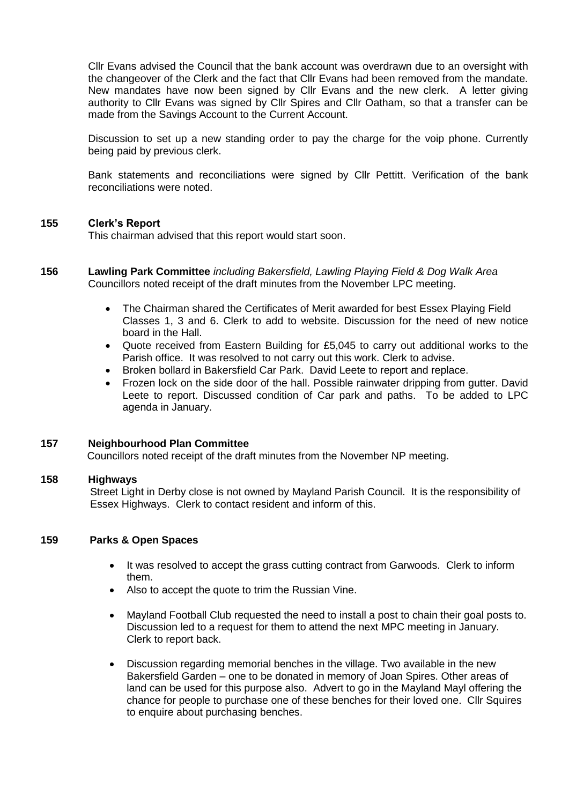Cllr Evans advised the Council that the bank account was overdrawn due to an oversight with the changeover of the Clerk and the fact that Cllr Evans had been removed from the mandate. New mandates have now been signed by Cllr Evans and the new clerk. A letter giving authority to Cllr Evans was signed by Cllr Spires and Cllr Oatham, so that a transfer can be made from the Savings Account to the Current Account.

Discussion to set up a new standing order to pay the charge for the voip phone. Currently being paid by previous clerk.

Bank statements and reconciliations were signed by Cllr Pettitt. Verification of the bank reconciliations were noted.

#### **155 Clerk's Report**

This chairman advised that this report would start soon.

## **156 Lawling Park Committee** *including Bakersfield, Lawling Playing Field & Dog Walk Area* Councillors noted receipt of the draft minutes from the November LPC meeting.

- The Chairman shared the Certificates of Merit awarded for best Essex Playing Field Classes 1, 3 and 6. Clerk to add to website. Discussion for the need of new notice board in the Hall.
- Quote received from Eastern Building for £5,045 to carry out additional works to the Parish office. It was resolved to not carry out this work. Clerk to advise.
- Broken bollard in Bakersfield Car Park. David Leete to report and replace.
- Frozen lock on the side door of the hall. Possible rainwater dripping from gutter. David Leete to report. Discussed condition of Car park and paths. To be added to LPC agenda in January.

#### **157 Neighbourhood Plan Committee**

Councillors noted receipt of the draft minutes from the November NP meeting.

#### **158 Highways**

 Street Light in Derby close is not owned by Mayland Parish Council. It is the responsibility of Essex Highways. Clerk to contact resident and inform of this.

# **159 Parks & Open Spaces**

- It was resolved to accept the grass cutting contract from Garwoods. Clerk to inform them.
- Also to accept the quote to trim the Russian Vine.
- Mayland Football Club requested the need to install a post to chain their goal posts to. Discussion led to a request for them to attend the next MPC meeting in January. Clerk to report back.
- Discussion regarding memorial benches in the village. Two available in the new Bakersfield Garden – one to be donated in memory of Joan Spires. Other areas of land can be used for this purpose also. Advert to go in the Mayland Mayl offering the chance for people to purchase one of these benches for their loved one. Cllr Squires to enquire about purchasing benches.